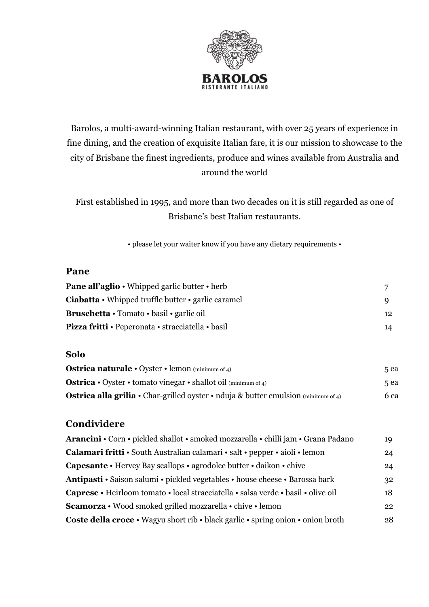

# Barolos, a multi-award-winning Italian restaurant, with over 25 years of experience in fine dining, and the creation of exquisite Italian fare, it is our mission to showcase to the city of Brisbane the finest ingredients, produce and wines available from Australia and around the world

First established in 1995, and more than two decades on it is still regarded as one of Brisbane's best Italian restaurants.

• please let your waiter know if you have any dietary requirements •

### **Pane**

| <b>Pane all'aglio</b> • Whipped garlic butter • herb                  |                  |
|-----------------------------------------------------------------------|------------------|
| <b>Ciabatta</b> $\cdot$ Whipped truffle butter $\cdot$ garlic caramel |                  |
| <b>Bruschetta</b> • Tomato • basil • garlic oil                       | 12 <sup>12</sup> |
| <b>Pizza fritti • Peperonata • stracciatella • basil</b>              | 14               |

#### **Solo**

| <b>Ostrica naturale</b> $\cdot$ Oyster $\cdot$ lemon (minimum of 4)                       | 5 ea |
|-------------------------------------------------------------------------------------------|------|
| <b>Ostrica</b> • Oyster • tomato vinegar • shallot oil (minimum of 4)                     | 5 ea |
| <b>Ostrica alla grilia •</b> Char-grilled oyster • nduja & butter emulsion (minimum of 4) | 6 ea |

## **Condividere**

| Arancini • Corn • pickled shallot • smoked mozzarella • chilli jam • Grana Padano | 19 |
|-----------------------------------------------------------------------------------|----|
| Calamari fritti • South Australian calamari • salt • pepper • aioli • lemon       | 24 |
| <b>Capesante •</b> Hervey Bay scallops • agrodolce butter • daikon • chive        | 24 |
| Antipasti · Saison salumi · pickled vegetables · house cheese · Barossa bark      | 32 |
| Caprese • Heirloom tomato • local stracciatella • salsa verde • basil • olive oil | 18 |
| Scamorza • Wood smoked grilled mozzarella • chive • lemon                         | 22 |
| Coste della croce · Wagyu short rib · black garlic · spring onion · onion broth   | 28 |